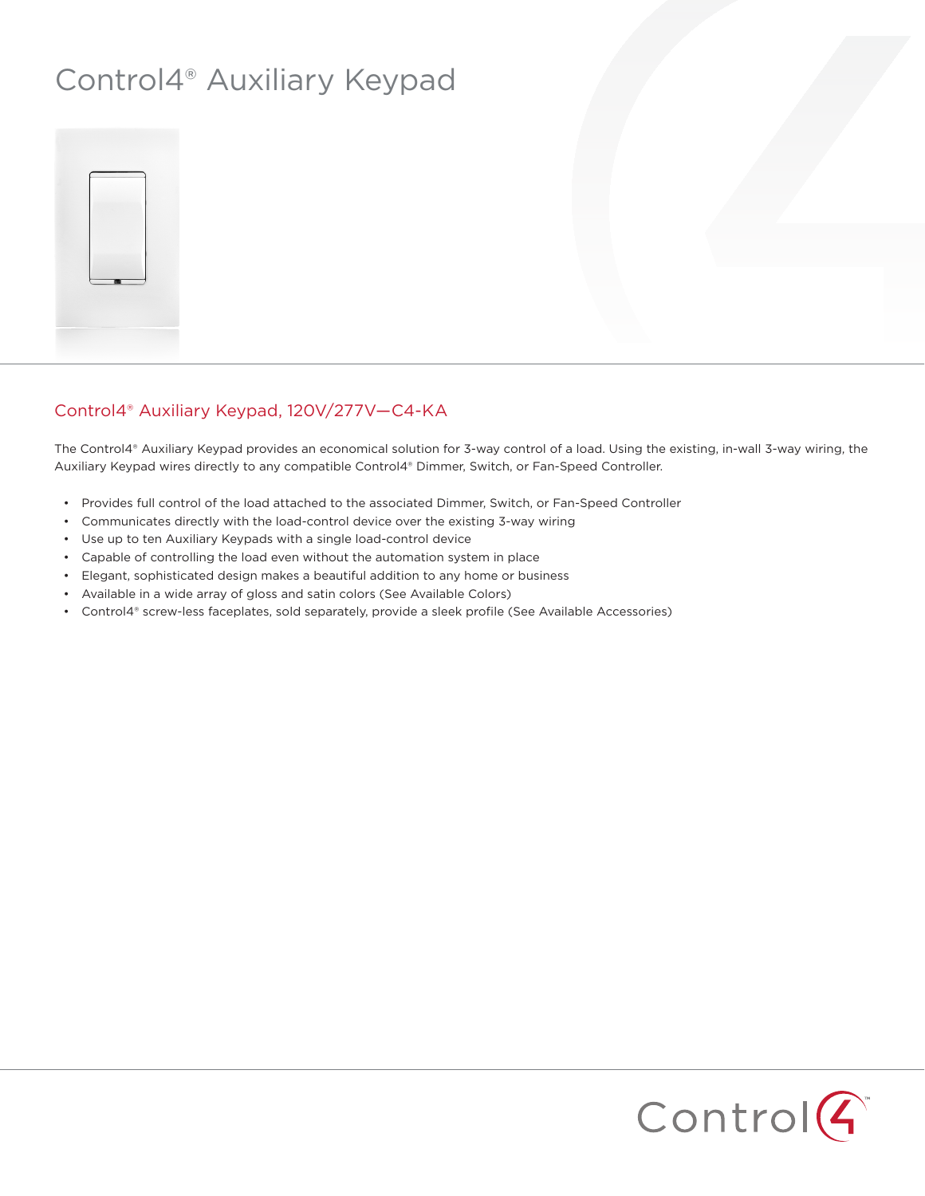## Control4® Auxiliary Keypad



## Control4® Auxiliary Keypad, 120V/277V—C4-KA

The Control4® Auxiliary Keypad provides an economical solution for 3-way control of a load. Using the existing, in-wall 3-way wiring, the Auxiliary Keypad wires directly to any compatible Control4® Dimmer, Switch, or Fan-Speed Controller.

- • Provides full control of the load attached to the associated Dimmer, Switch, or Fan-Speed Controller
- • Communicates directly with the load-control device over the existing 3-way wiring
- • Use up to ten Auxiliary Keypads with a single load-control device
- Capable of controlling the load even without the automation system in place
- • Elegant, sophisticated design makes a beautiful addition to any home or business
- • Available in a wide array of gloss and satin colors (See Available Colors)
- • Control4® screw-less faceplates, sold separately, provide a sleek profile (See Available Accessories)